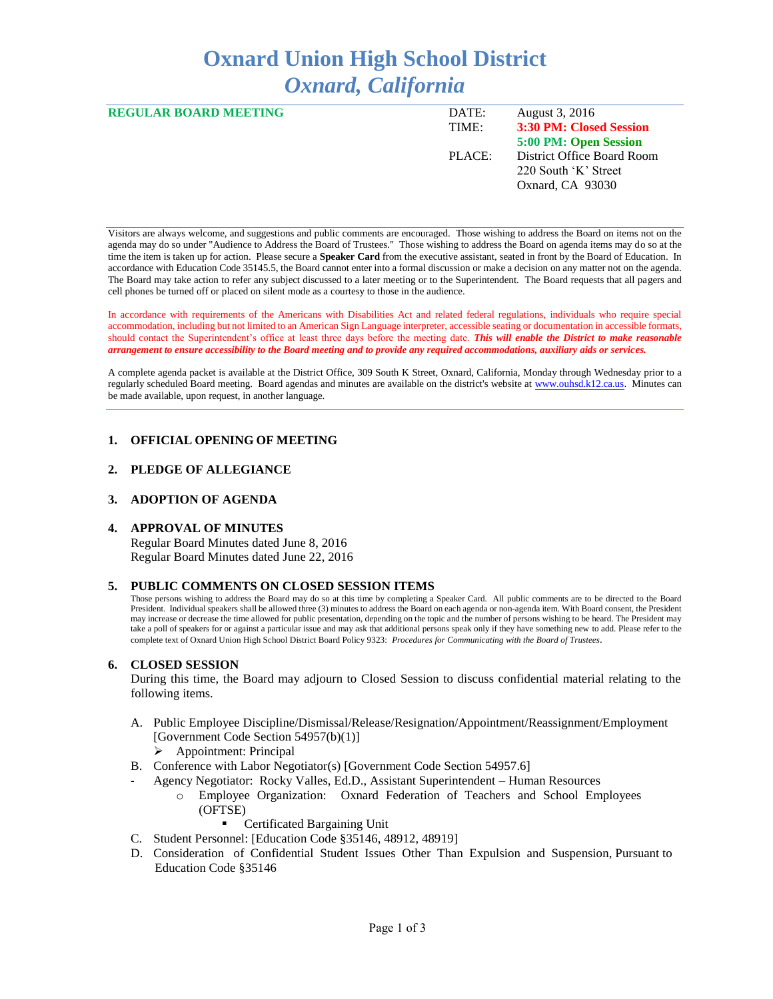# **Oxnard Union High School District** *Oxnard, California*

| <b>REGULAR BOARD MEETING</b> | DATE:<br>TIME: | August 3, 2016<br>3:30 PM: Closed Session                              |
|------------------------------|----------------|------------------------------------------------------------------------|
|                              |                | 5:00 PM: Open Session                                                  |
|                              | PLACE:         | District Office Board Room<br>220 South 'K' Street<br>Oxnard, CA 93030 |

Visitors are always welcome, and suggestions and public comments are encouraged. Those wishing to address the Board on items not on the agenda may do so under "Audience to Address the Board of Trustees." Those wishing to address the Board on agenda items may do so at the time the item is taken up for action. Please secure a **Speaker Card** from the executive assistant, seated in front by the Board of Education. In accordance with Education Code 35145.5, the Board cannot enter into a formal discussion or make a decision on any matter not on the agenda. The Board may take action to refer any subject discussed to a later meeting or to the Superintendent. The Board requests that all pagers and cell phones be turned off or placed on silent mode as a courtesy to those in the audience.

In accordance with requirements of the Americans with Disabilities Act and related federal regulations, individuals who require special accommodation, including but not limited to an American Sign Language interpreter, accessible seating or documentation in accessible formats, should contact the Superintendent's office at least three days before the meeting date. *This will enable the District to make reasonable arrangement to ensure accessibility to the Board meeting and to provide any required accommodations, auxiliary aids or services.* 

A complete agenda packet is available at the District Office, 309 South K Street, Oxnard, California, Monday through Wednesday prior to a regularly scheduled Board meeting. Board agendas and minutes are available on the district's website a[t www.ouhsd.k12.ca.us.](http://www.ouhsd.k12.ca.us/)Minutes can be made available, upon request, in another language.

## **1. OFFICIAL OPENING OF MEETING**

#### **2. PLEDGE OF ALLEGIANCE**

#### **3. ADOPTION OF AGENDA**

#### **4. APPROVAL OF MINUTES**

Regular Board Minutes dated June 8, 2016 Regular Board Minutes dated June 22, 2016

#### **5. PUBLIC COMMENTS ON CLOSED SESSION ITEMS**

Those persons wishing to address the Board may do so at this time by completing a Speaker Card. All public comments are to be directed to the Board President. Individual speakers shall be allowed three (3) minutes to address the Board on each agenda or non-agenda item. With Board consent, the President may increase or decrease the time allowed for public presentation, depending on the topic and the number of persons wishing to be heard. The President may take a poll of speakers for or against a particular issue and may ask that additional persons speak only if they have something new to add. Please refer to the complete text of Oxnard Union High School District Board Policy 9323: *Procedures for Communicating with the Board of Trustees*.

#### **6. CLOSED SESSION**

During this time, the Board may adjourn to Closed Session to discuss confidential material relating to the following items.

- A. Public Employee Discipline/Dismissal/Release/Resignation/Appointment/Reassignment/Employment [Government Code Section 54957(b)(1)]
	- Appointment: Principal
- B. Conference with Labor Negotiator(s) [Government Code Section 54957.6]
- Agency Negotiator: Rocky Valles, Ed.D., Assistant Superintendent Human Resources
	- o Employee Organization: Oxnard Federation of Teachers and School Employees (OFTSE)
		- Certificated Bargaining Unit
- C. Student Personnel: [Education Code §35146, 48912, 48919]
- D. Consideration of Confidential Student Issues Other Than Expulsion and Suspension, Pursuant to Education Code §35146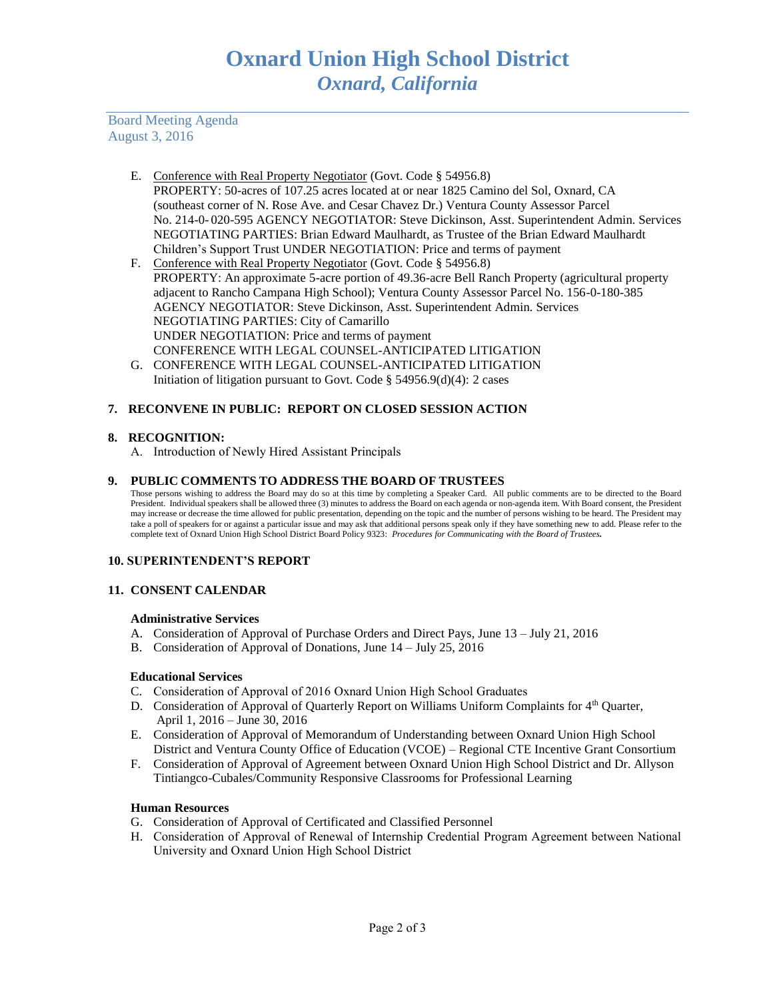Board Meeting Agenda August 3, 2016

- E. Conference with Real Property Negotiator (Govt. Code § 54956.8) PROPERTY: 50-acres of 107.25 acres located at or near 1825 Camino del Sol, Oxnard, CA (southeast corner of N. Rose Ave. and Cesar Chavez Dr.) Ventura County Assessor Parcel No. 214-0- 020-595 AGENCY NEGOTIATOR: Steve Dickinson, Asst. Superintendent Admin. Services NEGOTIATING PARTIES: Brian Edward Maulhardt, as Trustee of the Brian Edward Maulhardt Children's Support Trust UNDER NEGOTIATION: Price and terms of payment
- F. Conference with Real Property Negotiator (Govt. Code § 54956.8) PROPERTY: An approximate 5-acre portion of 49.36-acre Bell Ranch Property (agricultural property adjacent to Rancho Campana High School); Ventura County Assessor Parcel No. 156-0-180-385 AGENCY NEGOTIATOR: Steve Dickinson, Asst. Superintendent Admin. Services NEGOTIATING PARTIES: City of Camarillo UNDER NEGOTIATION: Price and terms of payment CONFERENCE WITH LEGAL COUNSEL-ANTICIPATED LITIGATION
- G. CONFERENCE WITH LEGAL COUNSEL-ANTICIPATED LITIGATION Initiation of litigation pursuant to Govt. Code § 54956.9(d)(4): 2 cases

# **7. RECONVENE IN PUBLIC: REPORT ON CLOSED SESSION ACTION**

# **8. RECOGNITION:**

A. Introduction of Newly Hired Assistant Principals

## **9. PUBLIC COMMENTS TO ADDRESS THE BOARD OF TRUSTEES**

Those persons wishing to address the Board may do so at this time by completing a Speaker Card. All public comments are to be directed to the Board President. Individual speakers shall be allowed three (3) minutes to address the Board on each agenda or non-agenda item. With Board consent, the President may increase or decrease the time allowed for public presentation, depending on the topic and the number of persons wishing to be heard. The President may take a poll of speakers for or against a particular issue and may ask that additional persons speak only if they have something new to add. Please refer to the complete text of Oxnard Union High School District Board Policy 9323: *Procedures for Communicating with the Board of Trustees.*

# **10. SUPERINTENDENT'S REPORT**

# **11. CONSENT CALENDAR**

## **Administrative Services**

- A. Consideration of Approval of Purchase Orders and Direct Pays, June 13 July 21, 2016
- B. Consideration of Approval of Donations, June 14 July 25, 2016

# **Educational Services**

- C. Consideration of Approval of 2016 Oxnard Union High School Graduates
- D. Consideration of Approval of Quarterly Report on Williams Uniform Complaints for 4<sup>th</sup> Quarter, April 1, 2016 – June 30, 2016
- E. Consideration of Approval of Memorandum of Understanding between Oxnard Union High School District and Ventura County Office of Education (VCOE) – Regional CTE Incentive Grant Consortium
- F. Consideration of Approval of Agreement between Oxnard Union High School District and Dr. Allyson Tintiangco-Cubales/Community Responsive Classrooms for Professional Learning

## **Human Resources**

- G. Consideration of Approval of Certificated and Classified Personnel
- H. Consideration of Approval of Renewal of Internship Credential Program Agreement between National University and Oxnard Union High School District